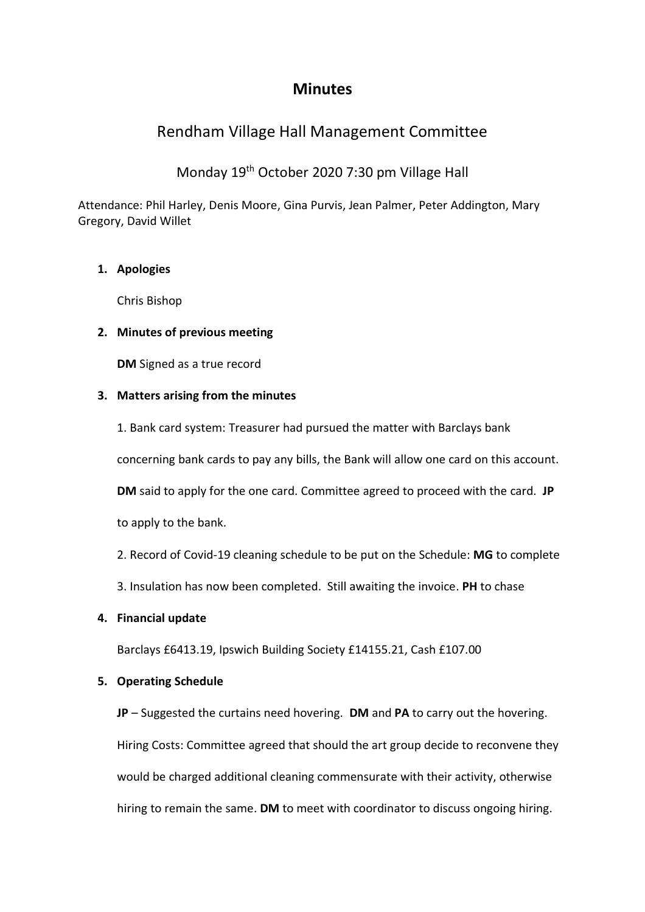## **Minutes**

# Rendham Village Hall Management Committee

## Monday 19th October 2020 7:30 pm Village Hall

Attendance: Phil Harley, Denis Moore, Gina Purvis, Jean Palmer, Peter Addington, Mary Gregory, David Willet

### **1. Apologies**

Chris Bishop

### **2. Minutes of previous meeting**

**DM** Signed as a true record

#### **3. Matters arising from the minutes**

1. Bank card system: Treasurer had pursued the matter with Barclays bank concerning bank cards to pay any bills, the Bank will allow one card on this account. **DM** said to apply for the one card. Committee agreed to proceed with the card. **JP** to apply to the bank.

2. Record of Covid-19 cleaning schedule to be put on the Schedule: **MG** to complete

3. Insulation has now been completed. Still awaiting the invoice. **PH** to chase

### **4. Financial update**

Barclays £6413.19, Ipswich Building Society £14155.21, Cash £107.00

### **5. Operating Schedule**

**JP** – Suggested the curtains need hovering. **DM** and **PA** to carry out the hovering. Hiring Costs: Committee agreed that should the art group decide to reconvene they would be charged additional cleaning commensurate with their activity, otherwise hiring to remain the same. **DM** to meet with coordinator to discuss ongoing hiring.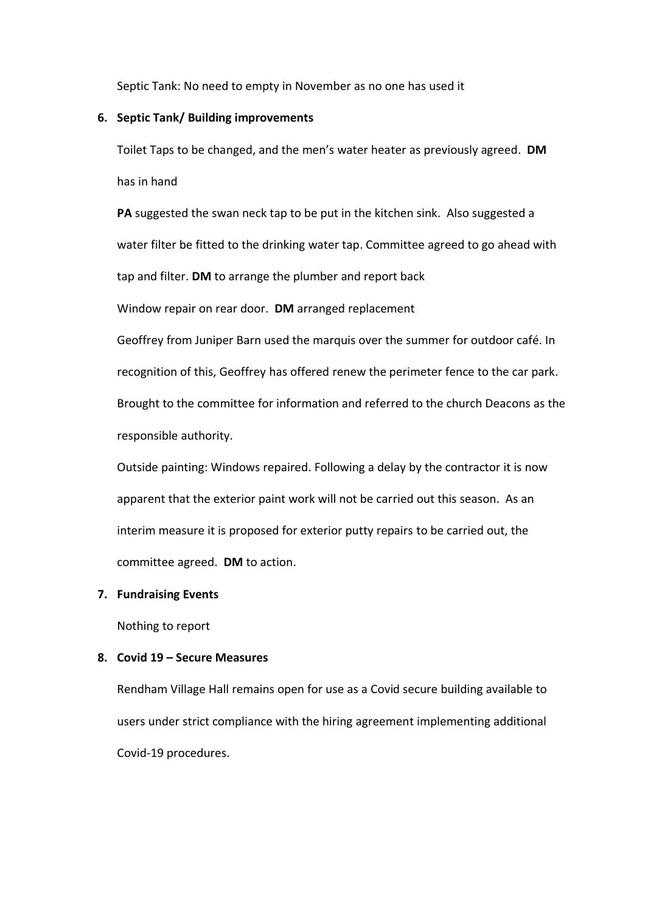Septic Tank: No need to empty in November as no one has used it

#### **6. Septic Tank/ Building improvements**

Toilet Taps to be changed, and the men's water heater as previously agreed. **DM** has in hand

**PA** suggested the swan neck tap to be put in the kitchen sink. Also suggested a water filter be fitted to the drinking water tap. Committee agreed to go ahead with tap and filter. **DM** to arrange the plumber and report back

Window repair on rear door. **DM** arranged replacement

Geoffrey from Juniper Barn used the marquis over the summer for outdoor café. In recognition of this, Geoffrey has offered renew the perimeter fence to the car park. Brought to the committee for information and referred to the church Deacons as the responsible authority.

Outside painting: Windows repaired. Following a delay by the contractor it is now apparent that the exterior paint work will not be carried out this season. As an interim measure it is proposed for exterior putty repairs to be carried out, the committee agreed. **DM** to action.

#### **7. Fundraising Events**

Nothing to report

#### **8. Covid 19 – Secure Measures**

Rendham Village Hall remains open for use as a Covid secure building available to users under strict compliance with the hiring agreement implementing additional Covid-19 procedures.